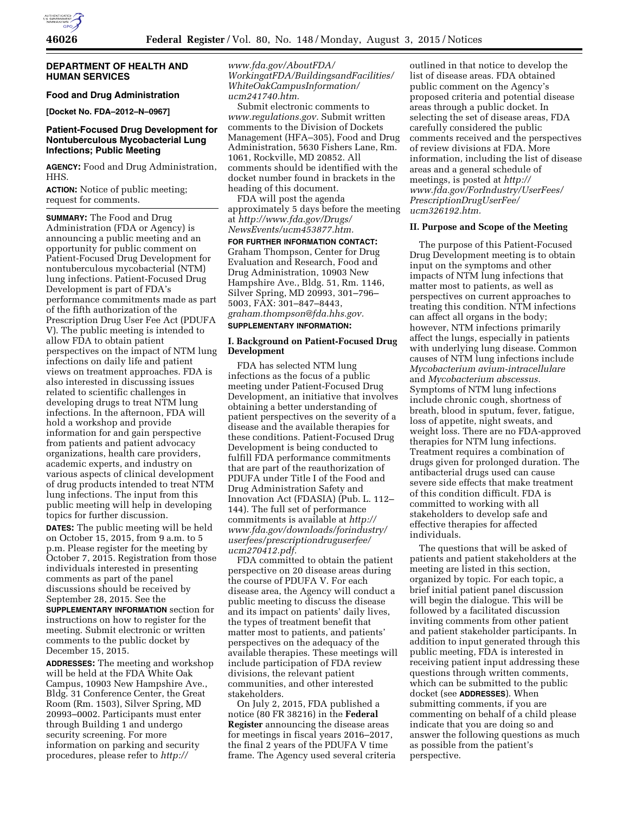

## **DEPARTMENT OF HEALTH AND HUMAN SERVICES**

**Food and Drug Administration [Docket No. FDA–2012–N–0967]** 

# **Patient-Focused Drug Development for Nontuberculous Mycobacterial Lung Infections; Public Meeting**

**AGENCY:** Food and Drug Administration, HHS.

**ACTION:** Notice of public meeting; request for comments.

**SUMMARY:** The Food and Drug Administration (FDA or Agency) is announcing a public meeting and an opportunity for public comment on Patient-Focused Drug Development for nontuberculous mycobacterial (NTM) lung infections. Patient-Focused Drug Development is part of FDA's performance commitments made as part of the fifth authorization of the Prescription Drug User Fee Act (PDUFA V). The public meeting is intended to allow FDA to obtain patient perspectives on the impact of NTM lung infections on daily life and patient views on treatment approaches. FDA is also interested in discussing issues related to scientific challenges in developing drugs to treat NTM lung infections. In the afternoon, FDA will hold a workshop and provide information for and gain perspective from patients and patient advocacy organizations, health care providers, academic experts, and industry on various aspects of clinical development of drug products intended to treat NTM lung infections. The input from this public meeting will help in developing topics for further discussion.

**DATES:** The public meeting will be held on October 15, 2015, from 9 a.m. to 5 p.m. Please register for the meeting by October 7, 2015. Registration from those individuals interested in presenting comments as part of the panel discussions should be received by September 28, 2015. See the **SUPPLEMENTARY INFORMATION** section for instructions on how to register for the meeting. Submit electronic or written comments to the public docket by December 15, 2015.

**ADDRESSES:** The meeting and workshop will be held at the FDA White Oak Campus, 10903 New Hampshire Ave., Bldg. 31 Conference Center, the Great Room (Rm. 1503), Silver Spring, MD 20993–0002. Participants must enter through Building 1 and undergo security screening. For more information on parking and security procedures, please refer to *[http://](http://www.fda.gov/AboutFDA/WorkingatFDA/BuildingsandFacilities/WhiteOakCampusInformation/ucm241740.htm)*

*[www.fda.gov/AboutFDA/](http://www.fda.gov/AboutFDA/WorkingatFDA/BuildingsandFacilities/WhiteOakCampusInformation/ucm241740.htm) [WorkingatFDA/BuildingsandFacilities/](http://www.fda.gov/AboutFDA/WorkingatFDA/BuildingsandFacilities/WhiteOakCampusInformation/ucm241740.htm) [WhiteOakCampusInformation/](http://www.fda.gov/AboutFDA/WorkingatFDA/BuildingsandFacilities/WhiteOakCampusInformation/ucm241740.htm) [ucm241740.htm.](http://www.fda.gov/AboutFDA/WorkingatFDA/BuildingsandFacilities/WhiteOakCampusInformation/ucm241740.htm)* 

Submit electronic comments to *[www.regulations.gov.](http://www.regulations.gov)* Submit written comments to the Division of Dockets Management (HFA–305), Food and Drug Administration, 5630 Fishers Lane, Rm. 1061, Rockville, MD 20852. All comments should be identified with the docket number found in brackets in the heading of this document.

FDA will post the agenda approximately 5 days before the meeting at *[http://www.fda.gov/Drugs/](http://www.fda.gov/Drugs/NewsEvents/ucm453877.htm) [NewsEvents/ucm453877.htm.](http://www.fda.gov/Drugs/NewsEvents/ucm453877.htm)* 

**FOR FURTHER INFORMATION CONTACT:**  Graham Thompson, Center for Drug Evaluation and Research, Food and Drug Administration, 10903 New Hampshire Ave., Bldg. 51, Rm. 1146, Silver Spring, MD 20993, 301–796– 5003, FAX: 301–847–8443, *[graham.thompson@fda.hhs.gov.](mailto:graham.thompson@fda.hhs.gov)*  **SUPPLEMENTARY INFORMATION:** 

## **I. Background on Patient-Focused Drug Development**

FDA has selected NTM lung infections as the focus of a public meeting under Patient-Focused Drug Development, an initiative that involves obtaining a better understanding of patient perspectives on the severity of a disease and the available therapies for these conditions. Patient-Focused Drug Development is being conducted to fulfill FDA performance commitments that are part of the reauthorization of PDUFA under Title I of the Food and Drug Administration Safety and Innovation Act (FDASIA) (Pub. L. 112– 144). The full set of performance commitments is available at *[http://](http://www.fda.gov/downloads/forindustry/userfees/prescriptiondruguserfee/ucm270412.pdf) [www.fda.gov/downloads/forindustry/](http://www.fda.gov/downloads/forindustry/userfees/prescriptiondruguserfee/ucm270412.pdf) [userfees/prescriptiondruguserfee/](http://www.fda.gov/downloads/forindustry/userfees/prescriptiondruguserfee/ucm270412.pdf) [ucm270412.pdf.](http://www.fda.gov/downloads/forindustry/userfees/prescriptiondruguserfee/ucm270412.pdf)* 

FDA committed to obtain the patient perspective on 20 disease areas during the course of PDUFA V. For each disease area, the Agency will conduct a public meeting to discuss the disease and its impact on patients' daily lives, the types of treatment benefit that matter most to patients, and patients' perspectives on the adequacy of the available therapies. These meetings will include participation of FDA review divisions, the relevant patient communities, and other interested stakeholders.

On July 2, 2015, FDA published a notice (80 FR 38216) in the **Federal Register** announcing the disease areas for meetings in fiscal years 2016–2017, the final 2 years of the PDUFA V time frame. The Agency used several criteria

outlined in that notice to develop the list of disease areas. FDA obtained public comment on the Agency's proposed criteria and potential disease areas through a public docket. In selecting the set of disease areas, FDA carefully considered the public comments received and the perspectives of review divisions at FDA. More information, including the list of disease areas and a general schedule of meetings, is posted at *[http://](http://www.fda.gov/ForIndustry/UserFees/PrescriptionDrugUserFee/ucm326192.htm) [www.fda.gov/ForIndustry/UserFees/](http://www.fda.gov/ForIndustry/UserFees/PrescriptionDrugUserFee/ucm326192.htm) [PrescriptionDrugUserFee/](http://www.fda.gov/ForIndustry/UserFees/PrescriptionDrugUserFee/ucm326192.htm) [ucm326192.htm.](http://www.fda.gov/ForIndustry/UserFees/PrescriptionDrugUserFee/ucm326192.htm)* 

#### **II. Purpose and Scope of the Meeting**

The purpose of this Patient-Focused Drug Development meeting is to obtain input on the symptoms and other impacts of NTM lung infections that matter most to patients, as well as perspectives on current approaches to treating this condition. NTM infections can affect all organs in the body; however, NTM infections primarily affect the lungs, especially in patients with underlying lung disease. Common causes of NTM lung infections include *Mycobacterium avium-intracellulare*  and *Mycobacterium abscessus.*  Symptoms of NTM lung infections include chronic cough, shortness of breath, blood in sputum, fever, fatigue, loss of appetite, night sweats, and weight loss. There are no FDA-approved therapies for NTM lung infections. Treatment requires a combination of drugs given for prolonged duration. The antibacterial drugs used can cause severe side effects that make treatment of this condition difficult. FDA is committed to working with all stakeholders to develop safe and effective therapies for affected individuals.

The questions that will be asked of patients and patient stakeholders at the meeting are listed in this section, organized by topic. For each topic, a brief initial patient panel discussion will begin the dialogue. This will be followed by a facilitated discussion inviting comments from other patient and patient stakeholder participants. In addition to input generated through this public meeting, FDA is interested in receiving patient input addressing these questions through written comments, which can be submitted to the public docket (see **ADDRESSES**). When submitting comments, if you are commenting on behalf of a child please indicate that you are doing so and answer the following questions as much as possible from the patient's perspective.